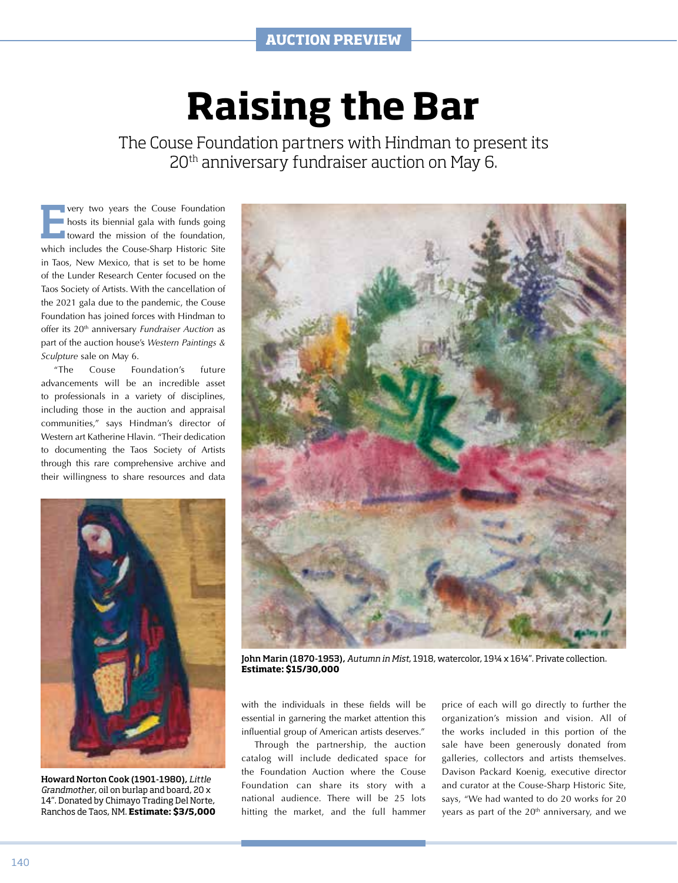## **Raising the Bar**

The Couse Foundation partners with Hindman to present its 20th anniversary fundraiser auction on May 6.

**Every two years the Couse Foundation**<br> **Every two years the Couse Foundation**<br> **Every two years to the foundation** hosts its biennial gala with funds going toward the mission of the foundation, which includes the Couse-Sharp Historic Site in Taos, New Mexico, that is set to be home of the Lunder Research Center focused on the Taos Society of Artists. With the cancellation of the 2021 gala due to the pandemic, the Couse Foundation has joined forces with Hindman to offer its 20th anniversary *Fundraiser Auction* as part of the auction house's *Western Paintings & Sculpture* sale on May 6.

"The Couse Foundation's future advancements will be an incredible asset to professionals in a variety of disciplines, including those in the auction and appraisal communities," says Hindman's director of Western art Katherine Hlavin. "Their dedication to documenting the Taos Society of Artists through this rare comprehensive archive and their willingness to share resources and data



Howard Norton Cook (1901-1980), *Little Grandmother*, oil on burlap and board, 20 x 14". Donated by Chimayo Trading Del Norte, Ranchos de Taos, NM. **Estimate: \$3/5,000**



John Marin (1870-1953), *Autumn in Mist*, 1918, watercolor, 19¼ x 16¼". Private collection. **Estimate: \$15/30,000**

with the individuals in these fields will be essential in garnering the market attention this influential group of American artists deserves."

Through the partnership, the auction catalog will include dedicated space for the Foundation Auction where the Couse Foundation can share its story with a national audience. There will be 25 lots hitting the market, and the full hammer price of each will go directly to further the organization's mission and vision. All of the works included in this portion of the sale have been generously donated from galleries, collectors and artists themselves. Davison Packard Koenig, executive director and curator at the Couse-Sharp Historic Site, says, "We had wanted to do 20 works for 20 years as part of the 20<sup>th</sup> anniversary, and we